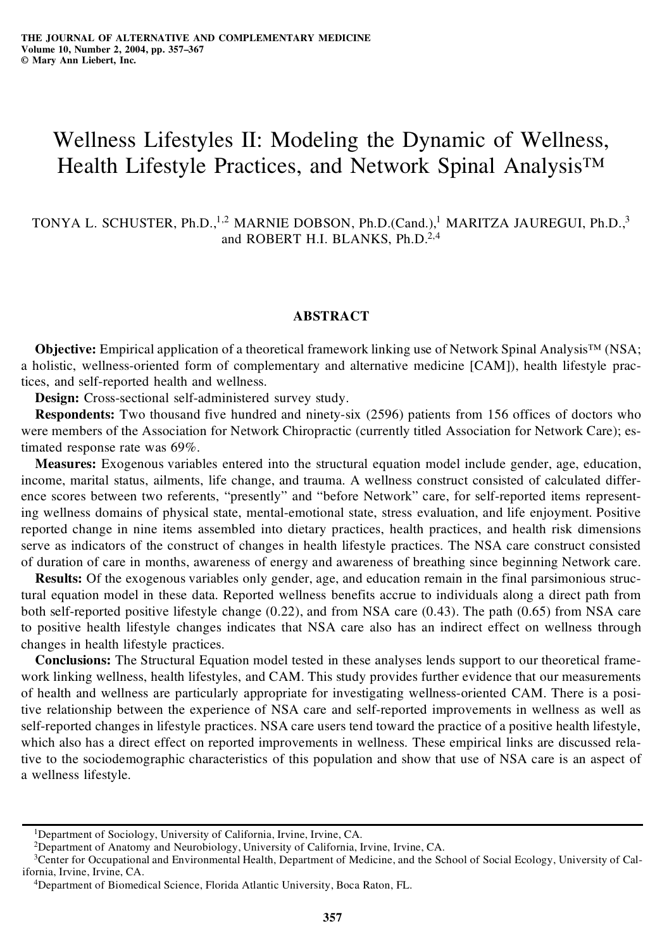# Wellness Lifestyles II: Modeling the Dynamic of Wellness, Health Lifestyle Practices, and Network Spinal Analysis™

TONYA L. SCHUSTER, Ph.D.,<sup>1,2</sup> MARNIE DOBSON, Ph.D.(Cand.),<sup>1</sup> MARITZA JAUREGUI, Ph.D.,<sup>3</sup> and ROBERT H.I. BLANKS, Ph.D. $^{2,4}$ 

# **ABSTRACT**

**Objective:** Empirical application of a theoretical framework linking use of Network Spinal Analysis™ (NSA; a holistic, wellness-oriented form of complementary and alternative medicine [CAM]), health lifestyle practices, and self-reported health and wellness.

**Design:** Cross-sectional self-administered survey study.

**Respondents:** Two thousand five hundred and ninety-six (2596) patients from 156 offices of doctors who were members of the Association for Network Chiropractic (currently titled Association for Network Care); estimated response rate was 69%.

**Measures:** Exogenous variables entered into the structural equation model include gender, age, education, income, marital status, ailments, life change, and trauma. A wellness construct consisted of calculated difference scores between two referents, "presently" and "before Network" care, for self-reported items representing wellness domains of physical state, mental-emotional state, stress evaluation, and life enjoyment. Positive reported change in nine items assembled into dietary practices, health practices, and health risk dimensions serve as indicators of the construct of changes in health lifestyle practices. The NSA care construct consisted of duration of care in months, awareness of energy and awareness of breathing since beginning Network care.

**Results:** Of the exogenous variables only gender, age, and education remain in the final parsimonious structural equation model in these data. Reported wellness benefits accrue to individuals along a direct path from both self-reported positive lifestyle change (0.22), and from NSA care (0.43). The path (0.65) from NSA care to positive health lifestyle changes indicates that NSA care also has an indirect effect on wellness through changes in health lifestyle practices.

**Conclusions:** The Structural Equation model tested in these analyses lends support to our theoretical framework linking wellness, health lifestyles, and CAM. This study provides further evidence that our measurements of health and wellness are particularly appropriate for investigating wellness-oriented CAM. There is a positive relationship between the experience of NSA care and self-reported improvements in wellness as well as self-reported changes in lifestyle practices. NSA care users tend toward the practice of a positive health lifestyle, which also has a direct effect on reported improvements in wellness. These empirical links are discussed relative to the sociodemographic characteristics of this population and show that use of NSA care is an aspect of a wellness lifestyle.

<sup>&</sup>lt;sup>1</sup>Department of Sociology, University of California, Irvine, Irvine, CA.

<sup>2</sup>Department of Anatomy and Neurobiology, University of California, Irvine, Irvine, CA.

<sup>&</sup>lt;sup>3</sup>Center for Occupational and Environmental Health, Department of Medicine, and the School of Social Ecology, University of California, Irvine, Irvine, CA.

<sup>4</sup>Department of Biomedical Science, Florida Atlantic University, Boca Raton, FL.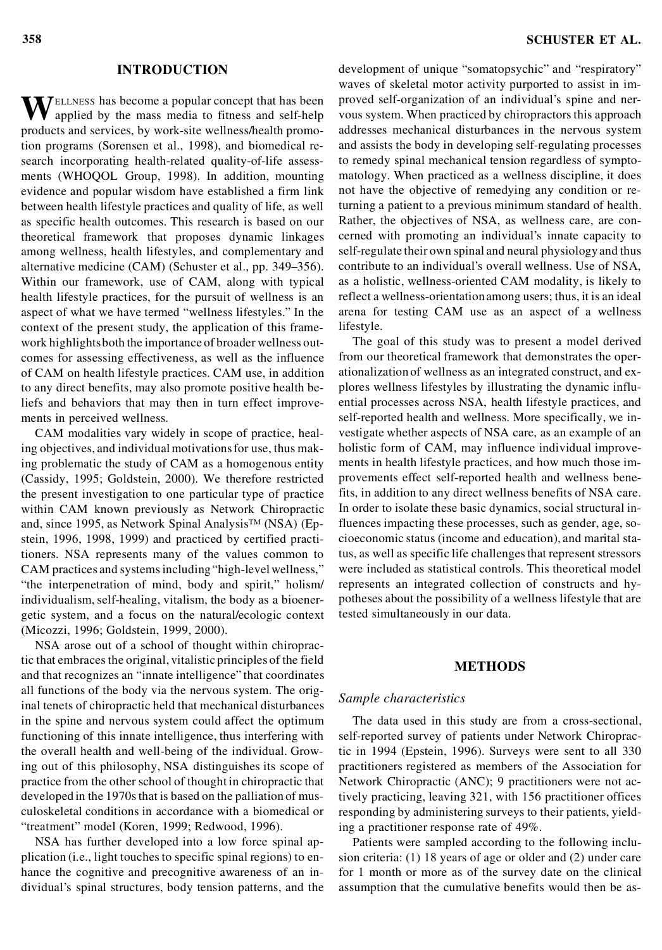#### **INTRODUCTION**

**WELLNESS** has become a popular concept that has been propulsed by the mass media to fitness and self-help products and services, by work-site wellness/health promotion programs (Sorensen et al., 1998), and biomedical research incorporating health-related quality-of-life assessments (WHOQOL Group, 1998). In addition, mounting evidence and popular wisdom have established a firm link between health lifestyle practices and quality of life, as well as specific health outcomes. This research is based on our theoretical framework that proposes dynamic linkages among wellness, health lifestyles, and complementary and alternative medicine (CAM) (Schuster et al., pp. 349–356). Within our framework, use of CAM, along with typical health lifestyle practices, for the pursuit of wellness is an aspect of what we have termed "wellness lifestyles." In the context of the present study, the application of this framework highlights both the importance of broader wellness outcomes for assessing effectiveness, as well as the influence of CAM on health lifestyle practices. CAM use, in addition to any direct benefits, may also promote positive health beliefs and behaviors that may then in turn effect improvements in perceived wellness.

CAM modalities vary widely in scope of practice, healing objectives, and individual motivations for use, thus making problematic the study of CAM as a homogenous entity (Cassidy, 1995; Goldstein, 2000). We therefore restricted the present investigation to one particular type of practice within CAM known previously as Network Chiropractic and, since 1995, as Network Spinal Analysis™ (NSA) (Epstein, 1996, 1998, 1999) and practiced by certified practitioners. NSA represents many of the values common to CAM practices and systems including "high-level wellness," "the interpenetration of mind, body and spirit," holism/ individualism, self-healing, vitalism, the body as a bioenergetic system, and a focus on the natural/ecologic context (Micozzi, 1996; Goldstein, 1999, 2000).

NSA arose out of a school of thought within chiropractic that embraces the original, vitalistic principles of the field and that recognizes an "innate intelligence" that coordinates all functions of the body via the nervous system. The original tenets of chiropractic held that mechanical disturbances in the spine and nervous system could affect the optimum functioning of this innate intelligence, thus interfering with the overall health and well-being of the individual. Growing out of this philosophy, NSA distinguishes its scope of practice from the other school of thought in chiropractic that developed in the 1970s that is based on the palliation of musculoskeletal conditions in accordance with a biomedical or "treatment" model (Koren, 1999; Redwood, 1996).

NSA has further developed into a low force spinal application (i.e., light touches to specific spinal regions) to enhance the cognitive and precognitive awareness of an individual's spinal structures, body tension patterns, and the development of unique "somatopsychic" and "respiratory" waves of skeletal motor activity purported to assist in improved self-organization of an individual's spine and nervous system. When practiced by chiropractors this approach addresses mechanical disturbances in the nervous system and assists the body in developing self-regulating processes to remedy spinal mechanical tension regardless of symptomatology. When practiced as a wellness discipline, it does not have the objective of remedying any condition or returning a patient to a previous minimum standard of health. Rather, the objectives of NSA, as wellness care, are concerned with promoting an individual's innate capacity to self-regulate their own spinal and neural physiology and thus contribute to an individual's overall wellness. Use of NSA, as a holistic, wellness-oriented CAM modality, is likely to reflect a wellness-orientation among users; thus, it is an ideal arena for testing CAM use as an aspect of a wellness lifestyle.

The goal of this study was to present a model derived from our theoretical framework that demonstrates the operationalization of wellness as an integrated construct, and explores wellness lifestyles by illustrating the dynamic influential processes across NSA, health lifestyle practices, and self-reported health and wellness. More specifically, we investigate whether aspects of NSA care, as an example of an holistic form of CAM, may influence individual improvements in health lifestyle practices, and how much those improvements effect self-reported health and wellness benefits, in addition to any direct wellness benefits of NSA care. In order to isolate these basic dynamics, social structural influences impacting these processes, such as gender, age, socioeconomic status (income and education), and marital status, as well as specific life challenges that represent stressors were included as statistical controls. This theoretical model represents an integrated collection of constructs and hypotheses about the possibility of a wellness lifestyle that are tested simultaneously in our data.

### **METHODS**

#### *Sample characteristics*

The data used in this study are from a cross-sectional, self-reported survey of patients under Network Chiropractic in 1994 (Epstein, 1996). Surveys were sent to all 330 practitioners registered as members of the Association for Network Chiropractic (ANC); 9 practitioners were not actively practicing, leaving 321, with 156 practitioner offices responding by administering surveys to their patients, yielding a practitioner response rate of 49%.

Patients were sampled according to the following inclusion criteria: (1) 18 years of age or older and (2) under care for 1 month or more as of the survey date on the clinical assumption that the cumulative benefits would then be as-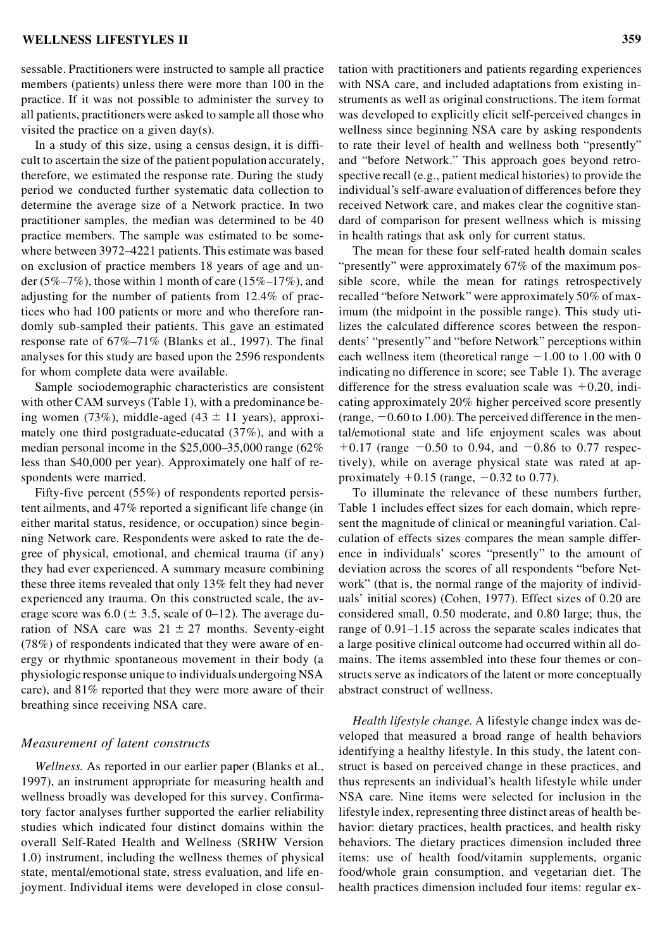sessable. Practitioners were instructed to sample all practice members (patients) unless there were more than 100 in the practice. If it was not possible to administer the survey to all patients, practitioners were asked to sample all those who visited the practice on a given day(s).

In a study of this size, using a census design, it is difficult to ascertain the size of the patient population accurately, therefore, we estimated the response rate. During the study period we conducted further systematic data collection to determine the average size of a Network practice. In two practitioner samples, the median was determined to be 40 practice members. The sample was estimated to be somewhere between 3972–4221 patients. This estimate was based on exclusion of practice members 18 years of age and under (5%–7%), those within 1 month of care (15%–17%), and adjusting for the number of patients from 12.4% of practices who had 100 patients or more and who therefore randomly sub-sampled their patients. This gave an estimated response rate of 67%–71% (Blanks et al., 1997). The final analyses for this study are based upon the 2596 respondents for whom complete data were available.

Sample sociodemographic characteristics are consistent with other CAM surveys (Table 1), with a predominance being women (73%), middle-aged (43  $\pm$  11 years), approximately one third postgraduate-educated (37%), and with a median personal income in the \$25,000–35,000 range (62% less than \$40,000 per year). Approximately one half of respondents were married.

Fifty-five percent (55%) of respondents reported persistent ailments, and 47% reported a significant life change (in either marital status, residence, or occupation) since beginning Network care. Respondents were asked to rate the degree of physical, emotional, and chemical trauma (if any) they had ever experienced. A summary measure combining these three items revealed that only 13% felt they had never experienced any trauma. On this constructed scale, the average score was  $6.0 \, (\pm 3.5, \text{scale of } 0-12)$ . The average duration of NSA care was  $21 \pm 27$  months. Seventy-eight (78%) of respondents indicated that they were aware of energy or rhythmic spontaneous movement in their body (a physiologic response unique to individuals undergoing NSA care), and 81% reported that they were more aware of their breathing since receiving NSA care.

#### *Measurement of latent constructs*

*Wellness*. As reported in our earlier paper (Blanks et al., 1997), an instrument appropriate for measuring health and wellness broadly was developed for this survey. Confirmatory factor analyses further supported the earlier reliability studies which indicated four distinct domains within the overall Self-Rated Health and Wellness (SRHW Version 1.0) instrument, including the wellness themes of physical state, mental/emotional state, stress evaluation, and life enjoyment. Individual items were developed in close consul-

tation with practitioners and patients regarding experiences with NSA care, and included adaptations from existing instruments as well as original constructions. The item format was developed to explicitly elicit self-perceived changes in wellness since beginning NSA care by asking respondents to rate their level of health and wellness both "presently" and "before Network." This approach goes beyond retrospective recall (e.g., patient medical histories) to provide the individual's self-aware evaluation of differences before they received Network care, and makes clear the cognitive standard of comparison for present wellness which is missing in health ratings that ask only for current status.

The mean for these four self-rated health domain scales "presently" were approximately 67% of the maximum possible score, while the mean for ratings retrospectively recalled "before Network" were approximately 50% of maximum (the midpoint in the possible range). This study utilizes the calculated difference scores between the respondents' "presently" and "before Network" perceptions within each wellness item (theoretical range  $-1.00$  to 1.00 with 0 indicating no difference in score; see Table 1). The average difference for the stress evaluation scale was  $+0.20$ , indicating approximately 20% higher perceived score presently (range,  $-0.60$  to 1.00). The perceived difference in the mental/emotional state and life enjoyment scales was about  $+0.17$  (range  $-0.50$  to 0.94, and  $-0.86$  to 0.77 respectively), while on average physical state was rated at approximately  $+0.15$  (range,  $-0.32$  to 0.77).

To illuminate the relevance of these numbers further, Table 1 includes effect sizes for each domain, which represent the magnitude of clinical or meaningful variation. Calculation of effects sizes compares the mean sample difference in individuals' scores "presently" to the amount of deviation across the scores of all respondents "before Network" (that is, the normal range of the majority of individuals' initial scores) (Cohen, 1977). Effect sizes of 0.20 are considered small, 0.50 moderate, and 0.80 large; thus, the range of 0.91–1.15 across the separate scales indicates that a large positive clinical outcome had occurred within all domains. The items assembled into these four themes or constructs serve as indicators of the latent or more conceptually abstract construct of wellness.

*Health lifestyle change.* A lifestyle change index was developed that measured a broad range of health behaviors identifying a healthy lifestyle. In this study, the latent construct is based on perceived change in these practices, and thus represents an individual's health lifestyle while under NSA care. Nine items were selected for inclusion in the lifestyle index, representing three distinct areas of health behavior: dietary practices, health practices, and health risky behaviors. The dietary practices dimension included three items: use of health food/vitamin supplements, organic food/whole grain consumption, and vegetarian diet. The health practices dimension included four items: regular ex-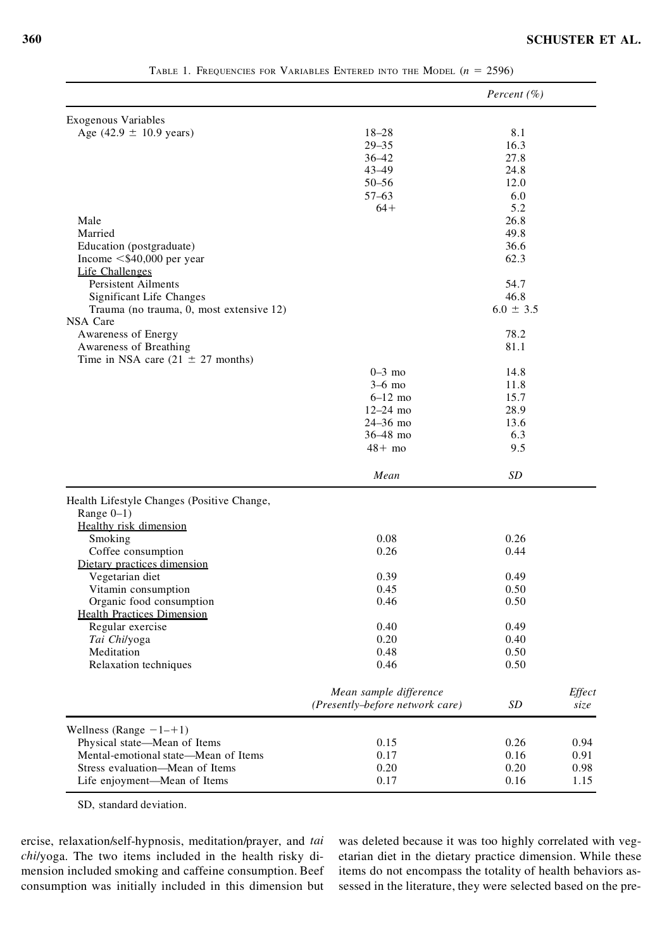|                                               |                                 | Percent $(\% )$ |               |
|-----------------------------------------------|---------------------------------|-----------------|---------------|
| <b>Exogenous Variables</b>                    |                                 |                 |               |
| Age $(42.9 \pm 10.9 \text{ years})$           | $18 - 28$                       | 8.1             |               |
|                                               | $29 - 35$                       | 16.3            |               |
|                                               | $36 - 42$                       | 27.8            |               |
|                                               | 43-49                           | 24.8            |               |
|                                               | 50–56                           | 12.0            |               |
|                                               | $57 - 63$                       | 6.0             |               |
|                                               | $64+$                           | 5.2             |               |
| Male                                          |                                 | 26.8            |               |
|                                               |                                 |                 |               |
| Married                                       |                                 | 49.8            |               |
| Education (postgraduate)                      |                                 | 36.6            |               |
| Income $<$ \$40,000 per year                  |                                 | 62.3            |               |
| Life Challenges                               |                                 |                 |               |
| Persistent Ailments                           |                                 | 54.7            |               |
| Significant Life Changes                      |                                 | 46.8            |               |
| Trauma (no trauma, 0, most extensive 12)      |                                 | $6.0 \pm 3.5$   |               |
| NSA Care                                      |                                 |                 |               |
| Awareness of Energy                           |                                 | 78.2            |               |
| Awareness of Breathing                        |                                 | 81.1            |               |
| Time in NSA care $(21 \pm 27 \text{ months})$ |                                 |                 |               |
|                                               | $0-3$ mo                        | 14.8            |               |
|                                               | $3-6$ mo                        | 11.8            |               |
|                                               | $6-12$ mo                       |                 |               |
|                                               |                                 | 15.7            |               |
|                                               | $12 - 24$ mo                    | 28.9            |               |
|                                               | 24-36 mo                        | 13.6            |               |
|                                               | 36-48 mo                        | 6.3             |               |
|                                               | $48+$ mo                        | 9.5             |               |
|                                               | Mean                            | SD              |               |
| Health Lifestyle Changes (Positive Change,    |                                 |                 |               |
| Range $0-1$ )                                 |                                 |                 |               |
| Healthy risk dimension                        |                                 |                 |               |
| Smoking                                       | 0.08                            | 0.26            |               |
| Coffee consumption                            | 0.26                            | 0.44            |               |
| Dietary practices dimension                   |                                 |                 |               |
| Vegetarian diet                               | 0.39                            | 0.49            |               |
| Vitamin consumption                           | 0.45                            | 0.50            |               |
| Organic food consumption                      | 0.46                            | 0.50            |               |
| <b>Health Practices Dimension</b>             |                                 |                 |               |
|                                               |                                 |                 |               |
| Regular exercise                              | 0.40                            | 0.49            |               |
| Tai Chi/yoga                                  | 0.20                            | 0.40            |               |
| Meditation                                    | 0.48                            | 0.50            |               |
| Relaxation techniques                         | 0.46                            | 0.50            |               |
|                                               | Mean sample difference          |                 | <i>Effect</i> |
|                                               | (Presently-before network care) | SD              | size          |
| Wellness (Range $-1-+1$ )                     |                                 |                 |               |
| Physical state-Mean of Items                  | 0.15                            | 0.26            | 0.94          |
|                                               |                                 |                 |               |
| Mental-emotional state—Mean of Items          | 0.17                            | 0.16            | 0.91          |
| Stress evaluation-Mean of Items               | 0.20                            | 0.20            | 0.98          |
| Life enjoyment-Mean of Items                  | 0.17                            | 0.16            | 1.15          |

TABLE 1. FREQUENCIES FOR VARIABLES ENTERED INTO THE MODEL  $(n = 2596)$ 

SD, standard deviation.

ercise, relaxation/self-hypnosis, meditation/prayer, and *tai chi*/yoga. The two items included in the health risky dimension included smoking and caffeine consumption. Beef consumption was initially included in this dimension but

was deleted because it was too highly correlated with vegetarian diet in the dietary practice dimension. While these items do not encompass the totality of health behaviors assessed in the literature, they were selected based on the pre-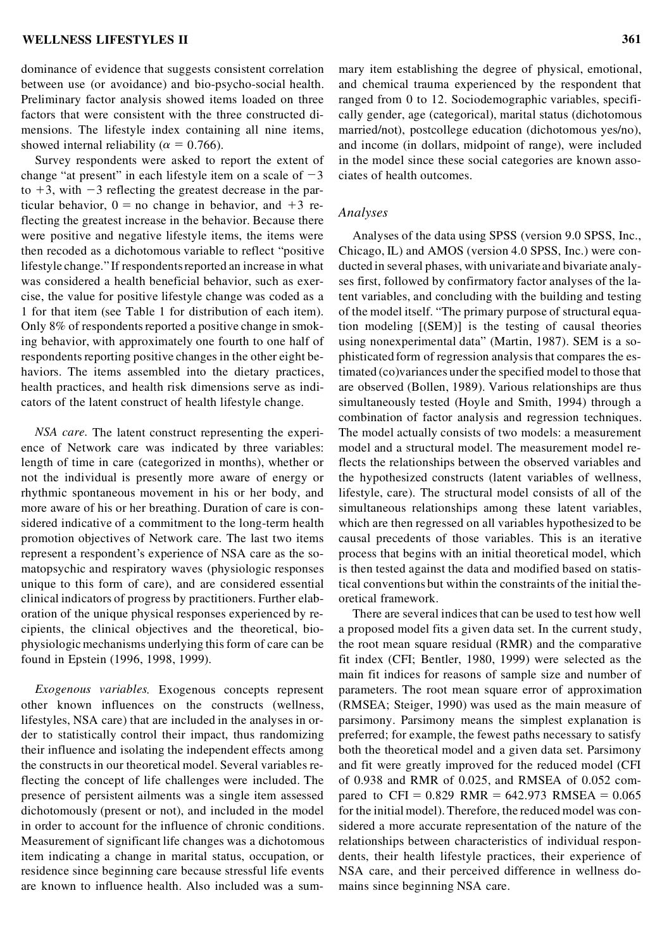dominance of evidence that suggests consistent correlation between use (or avoidance) and bio-psycho-social health. Preliminary factor analysis showed items loaded on three factors that were consistent with the three constructed dimensions. The lifestyle index containing all nine items, showed internal reliability ( $\alpha = 0.766$ ).

Survey respondents were asked to report the extent of change "at present" in each lifestyle item on a scale of  $-3$ to  $+3$ , with  $-3$  reflecting the greatest decrease in the particular behavior,  $0 = no$  change in behavior, and  $+3$  reflecting the greatest increase in the behavior. Because there were positive and negative lifestyle items, the items were then recoded as a dichotomous variable to reflect "positive lifestyle change." If respondents reported an increase in what was considered a health beneficial behavior, such as exercise, the value for positive lifestyle change was coded as a 1 for that item (see Table 1 for distribution of each item). Only 8% of respondents reported a positive change in smoking behavior, with approximately one fourth to one half of respondents reporting positive changes in the other eight behaviors. The items assembled into the dietary practices, health practices, and health risk dimensions serve as indicators of the latent construct of health lifestyle change.

*NSA care.* The latent construct representing the experience of Network care was indicated by three variables: length of time in care (categorized in months), whether or not the individual is presently more aware of energy or rhythmic spontaneous movement in his or her body, and more aware of his or her breathing. Duration of care is considered indicative of a commitment to the long-term health promotion objectives of Network care. The last two items represent a respondent's experience of NSA care as the somatopsychic and respiratory waves (physiologic responses unique to this form of care), and are considered essential clinical indicators of progress by practitioners. Further elaboration of the unique physical responses experienced by recipients, the clinical objectives and the theoretical, biophysiologic mechanisms underlying this form of care can be found in Epstein (1996, 1998, 1999).

*Exogenous variables*. Exogenous concepts represent other known influences on the constructs (wellness, lifestyles, NSA care) that are included in the analyses in order to statistically control their impact, thus randomizing their influence and isolating the independent effects among the constructs in our theoretical model. Several variables reflecting the concept of life challenges were included. The presence of persistent ailments was a single item assessed dichotomously (present or not), and included in the model in order to account for the influence of chronic conditions. Measurement of significant life changes was a dichotomous item indicating a change in marital status, occupation, or residence since beginning care because stressful life events are known to influence health. Also included was a sum-

mary item establishing the degree of physical, emotional, and chemical trauma experienced by the respondent that ranged from 0 to 12. Sociodemographic variables, specifically gender, age (categorical), marital status (dichotomous married/not), postcollege education (dichotomous yes/no), and income (in dollars, midpoint of range), were included in the model since these social categories are known associates of health outcomes.

#### *Analyses*

Analyses of the data using SPSS (version 9.0 SPSS, Inc., Chicago, IL) and AMOS (version 4.0 SPSS, Inc.) were conducted in several phases, with univariate and bivariate analyses first, followed by confirmatory factor analyses of the latent variables, and concluding with the building and testing of the model itself. "The primary purpose of structural equation modeling [(SEM)] is the testing of causal theories using nonexperimental data" (Martin, 1987). SEM is a sophisticated form of regression analysis that compares the estimated (co)variances under the specified model to those that are observed (Bollen, 1989). Various relationships are thus simultaneously tested (Hoyle and Smith, 1994) through a combination of factor analysis and regression techniques. The model actually consists of two models: a measurement model and a structural model. The measurement model reflects the relationships between the observed variables and the hypothesized constructs (latent variables of wellness, lifestyle, care). The structural model consists of all of the simultaneous relationships among these latent variables, which are then regressed on all variables hypothesized to be causal precedents of those variables. This is an iterative process that begins with an initial theoretical model, which is then tested against the data and modified based on statistical conventions but within the constraints of the initial theoretical framework.

There are several indices that can be used to test how well a proposed model fits a given data set. In the current study, the root mean square residual (RMR) and the comparative fit index (CFI; Bentler, 1980, 1999) were selected as the main fit indices for reasons of sample size and number of parameters. The root mean square error of approximation (RMSEA; Steiger, 1990) was used as the main measure of parsimony. Parsimony means the simplest explanation is preferred; for example, the fewest paths necessary to satisfy both the theoretical model and a given data set. Parsimony and fit were greatly improved for the reduced model (CFI of 0.938 and RMR of 0.025, and RMSEA of 0.052 compared to CFI =  $0.829$  RMR =  $642.973$  RMSEA =  $0.065$ for the initial model). Therefore, the reduced model was considered a more accurate representation of the nature of the relationships between characteristics of individual respondents, their health lifestyle practices, their experience of NSA care, and their perceived difference in wellness domains since beginning NSA care.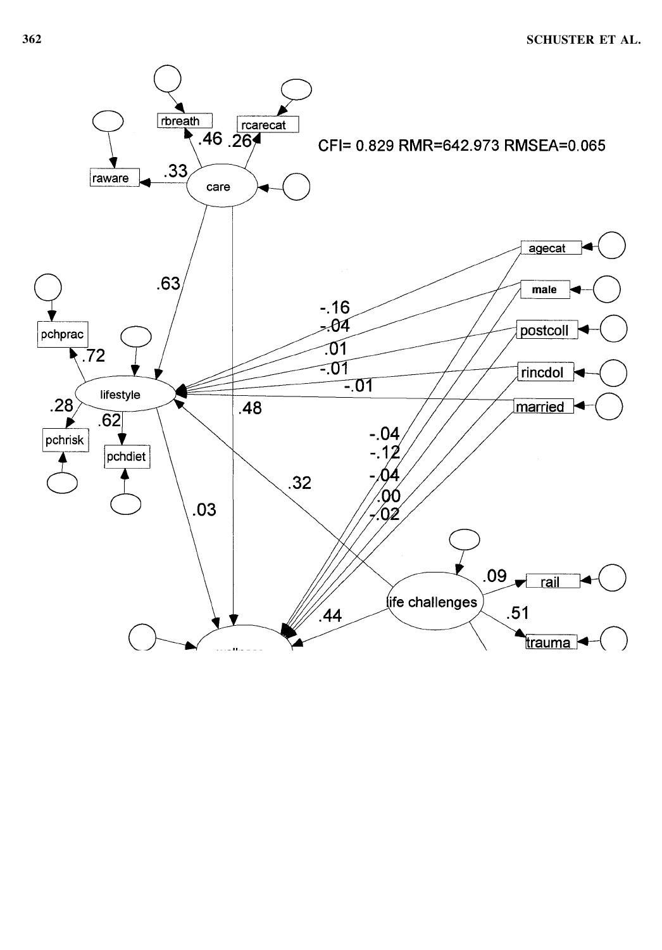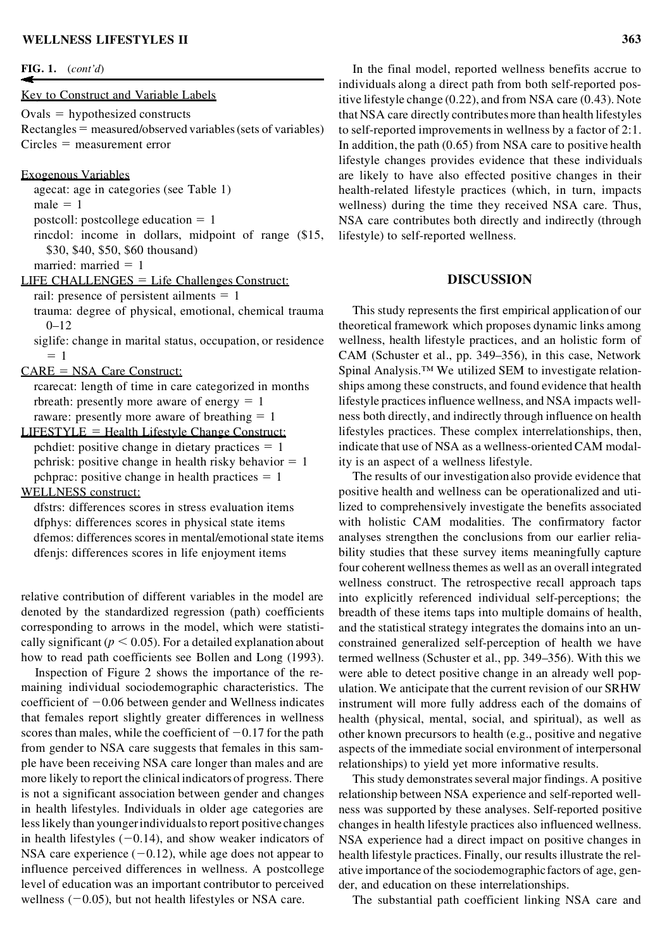**FIG. 1.** (*cont'd*)

#### Key to Construct and Variable Labels

 $Ovals = hypothesized constructs$ 

 $Rectangles = measured/observed variables (sets of variables)$  $Circles = measurement error$ 

# Exogenous Variables

agecat: age in categories (see Table 1)  $male = 1$ 

postcoll: postcollege education  $= 1$ 

rincdol: income in dollars, midpoint of range (\$15, \$30, \$40, \$50, \$60 thousand)

married: married  $= 1$ 

#### LIFE CHALLENGES  $=$  Life Challenges Construct:

rail: presence of persistent ailments  $= 1$ 

trauma: degree of physical, emotional, chemical trauma 0–12

siglife: change in marital status, occupation, or residence  $= 1$ 

# $CARE = NSA Care Construct:$

rcarecat: length of time in care categorized in months rbreath: presently more aware of energy  $= 1$ raware: presently more aware of breathing  $= 1$ 

 $LIEESTYLE = Health Life style Change Construct:$ pchdiet: positive change in dietary practices  $= 1$ pchrisk: positive change in health risky behavior  $= 1$ pchprac: positive change in health practices  $= 1$ 

#### WELLNESS construct:

dfstrs: differences scores in stress evaluation items dfphys: differences scores in physical state items dfemos: differences scores in mental/emotional state items dfenjs: differences scores in life enjoyment items

relative contribution of different variables in the model are denoted by the standardized regression (path) coefficients corresponding to arrows in the model, which were statistically significant ( $p < 0.05$ ). For a detailed explanation about how to read path coefficients see Bollen and Long (1993).

Inspection of Figure 2 shows the importance of the remaining individual sociodemographic characteristics. The coefficient of  $-0.06$  between gender and Wellness indicates that females report slightly greater differences in wellness scores than males, while the coefficient of  $-0.17$  for the path from gender to NSA care suggests that females in this sample have been receiving NSA care longer than males and are more likely to report the clinical indicators of progress. There is not a significant association between gender and changes in health lifestyles. Individuals in older age categories are less likely than younger individuals to report positive changes in health lifestyles  $(-0.14)$ , and show weaker indicators of NSA care experience  $(-0.12)$ , while age does not appear to influence perceived differences in wellness. A postcollege level of education was an important contributor to perceived wellness  $(-0.05)$ , but not health lifestyles or NSA care.

In the final model, reported wellness benefits accrue to individuals along a direct path from both self-reported positive lifestyle change (0.22), and from NSA care (0.43). Note that NSA care directly contributes more than health lifestyles to self-reported improvements in wellness by a factor of 2:1. In addition, the path (0.65) from NSA care to positive health lifestyle changes provides evidence that these individuals are likely to have also effected positive changes in their health-related lifestyle practices (which, in turn, impacts wellness) during the time they received NSA care. Thus, NSA care contributes both directly and indirectly (through lifestyle) to self-reported wellness.

#### **DISCUSSION**

This study represents the first empirical application of our theoretical framework which proposes dynamic links among wellness, health lifestyle practices, and an holistic form of CAM (Schuster et al., pp. 349–356), in this case, Network Spinal Analysis.<sup>™</sup> We utilized SEM to investigate relationships among these constructs, and found evidence that health lifestyle practices influence wellness, and NSA impacts wellness both directly, and indirectly through influence on health lifestyles practices. These complex interrelationships, then, indicate that use of NSA as a wellness-oriented CAM modality is an aspect of a wellness lifestyle.

The results of our investigation also provide evidence that positive health and wellness can be operationalized and utilized to comprehensively investigate the benefits associated with holistic CAM modalities. The confirmatory factor analyses strengthen the conclusions from our earlier reliability studies that these survey items meaningfully capture four coherent wellness themes as well as an overall integrated wellness construct. The retrospective recall approach taps into explicitly referenced individual self-perceptions; the breadth of these items taps into multiple domains of health, and the statistical strategy integrates the domains into an unconstrained generalized self-perception of health we have termed wellness (Schuster et al., pp. 349–356). With this we were able to detect positive change in an already well population. We anticipate that the current revision of our SRHW instrument will more fully address each of the domains of health (physical, mental, social, and spiritual), as well as other known precursors to health (e.g., positive and negative aspects of the immediate social environment of interpersonal relationships) to yield yet more informative results.

This study demonstrates several major findings. A positive relationship between NSA experience and self-reported wellness was supported by these analyses. Self-reported positive changes in health lifestyle practices also influenced wellness. NSA experience had a direct impact on positive changes in health lifestyle practices. Finally, our results illustrate the relative importance of the sociodemographic factors of age, gender, and education on these interrelationships.

The substantial path coefficient linking NSA care and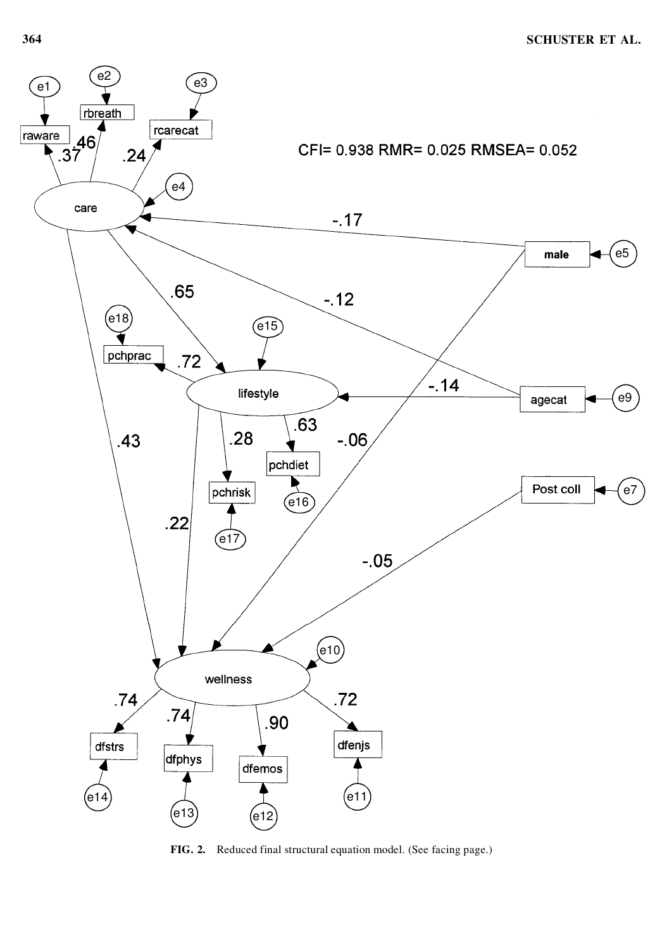**364 SCHUSTER ET AL.**



**FIG. 2.** Reduced final structural equation model. (See facing page.)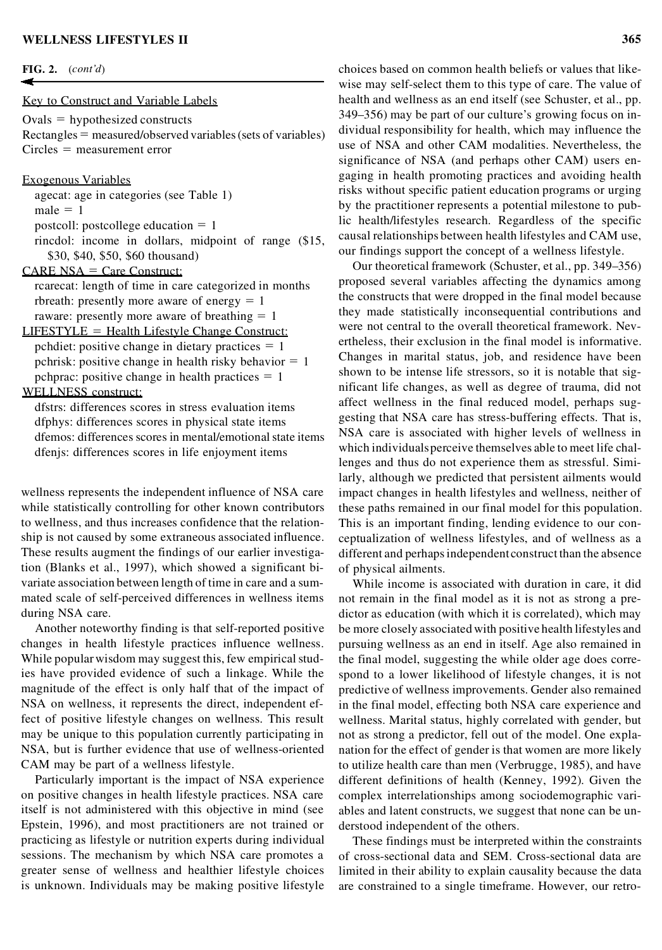**FIG. 2.** (*cont'd*)

◢

#### Key to Construct and Variable Labels

 $Ovals = hypothesized constructs$  $Rectangles = measured/observed variables (sets of variables)$  $Circles = measurement error$ 

#### Exogenous Variables

agecat: age in categories (see Table 1) male  $= 1$ postcoll: postcollege education  $= 1$ rincdol: income in dollars, midpoint of range (\$15, \$30, \$40, \$50, \$60 thousand)

# $CARE$  NSA = Care Construct:

rcarecat: length of time in care categorized in months rbreath: presently more aware of energy  $= 1$ raware: presently more aware of breathing  $= 1$ 

 $LIESTYLE = Health Lifestyle Change Construct:$ pchdiet: positive change in dietary practices  $= 1$ pchrisk: positive change in health risky behavior  $= 1$ pchprac: positive change in health practices  $= 1$ 

# WELLNESS construct:

dfstrs: differences scores in stress evaluation items dfphys: differences scores in physical state items dfemos: differences scores in mental/emotional state items dfenjs: differences scores in life enjoyment items

wellness represents the independent influence of NSA care while statistically controlling for other known contributors to wellness, and thus increases confidence that the relationship is not caused by some extraneous associated influence. These results augment the findings of our earlier investigation (Blanks et al., 1997), which showed a significant bivariate association between length of time in care and a summated scale of self-perceived differences in wellness items during NSA care.

Another noteworthy finding is that self-reported positive changes in health lifestyle practices influence wellness. While popular wisdom may suggest this, few empirical studies have provided evidence of such a linkage. While the magnitude of the effect is only half that of the impact of NSA on wellness, it represents the direct, independent effect of positive lifestyle changes on wellness. This result may be unique to this population currently participating in NSA, but is further evidence that use of wellness-oriented CAM may be part of a wellness lifestyle.

Particularly important is the impact of NSA experience on positive changes in health lifestyle practices. NSA care itself is not administered with this objective in mind (see Epstein, 1996), and most practitioners are not trained or practicing as lifestyle or nutrition experts during individual sessions. The mechanism by which NSA care promotes a greater sense of wellness and healthier lifestyle choices is unknown. Individuals may be making positive lifestyle

choices based on common health beliefs or values that likewise may self-select them to this type of care. The value of health and wellness as an end itself (see Schuster, et al., pp. 349–356) may be part of our culture's growing focus on individual responsibility for health, which may influence the use of NSA and other CAM modalities. Nevertheless, the significance of NSA (and perhaps other CAM) users engaging in health promoting practices and avoiding health risks without specific patient education programs or urging by the practitioner represents a potential milestone to public health/lifestyles research. Regardless of the specific causal relationships between health lifestyles and CAM use, our findings support the concept of a wellness lifestyle.

Our theoretical framework (Schuster, et al., pp. 349–356) proposed several variables affecting the dynamics among the constructs that were dropped in the final model because they made statistically inconsequential contributions and were not central to the overall theoretical framework. Nevertheless, their exclusion in the final model is informative. Changes in marital status, job, and residence have been shown to be intense life stressors, so it is notable that significant life changes, as well as degree of trauma, did not affect wellness in the final reduced model, perhaps suggesting that NSA care has stress-buffering effects. That is, NSA care is associated with higher levels of wellness in which individuals perceive themselves able to meet life challenges and thus do not experience them as stressful. Similarly, although we predicted that persistent ailments would impact changes in health lifestyles and wellness, neither of these paths remained in our final model for this population. This is an important finding, lending evidence to our conceptualization of wellness lifestyles, and of wellness as a different and perhaps independent construct than the absence of physical ailments.

While income is associated with duration in care, it did not remain in the final model as it is not as strong a predictor as education (with which it is correlated), which may be more closely associated with positive health lifestyles and pursuing wellness as an end in itself. Age also remained in the final model, suggesting the while older age does correspond to a lower likelihood of lifestyle changes, it is not predictive of wellness improvements. Gender also remained in the final model, effecting both NSA care experience and wellness. Marital status, highly correlated with gender, but not as strong a predictor, fell out of the model. One explanation for the effect of gender is that women are more likely to utilize health care than men (Verbrugge, 1985), and have different definitions of health (Kenney, 1992). Given the complex interrelationships among sociodemographic variables and latent constructs, we suggest that none can be understood independent of the others.

These findings must be interpreted within the constraints of cross-sectional data and SEM. Cross-sectional data are limited in their ability to explain causality because the data are constrained to a single timeframe. However, our retro-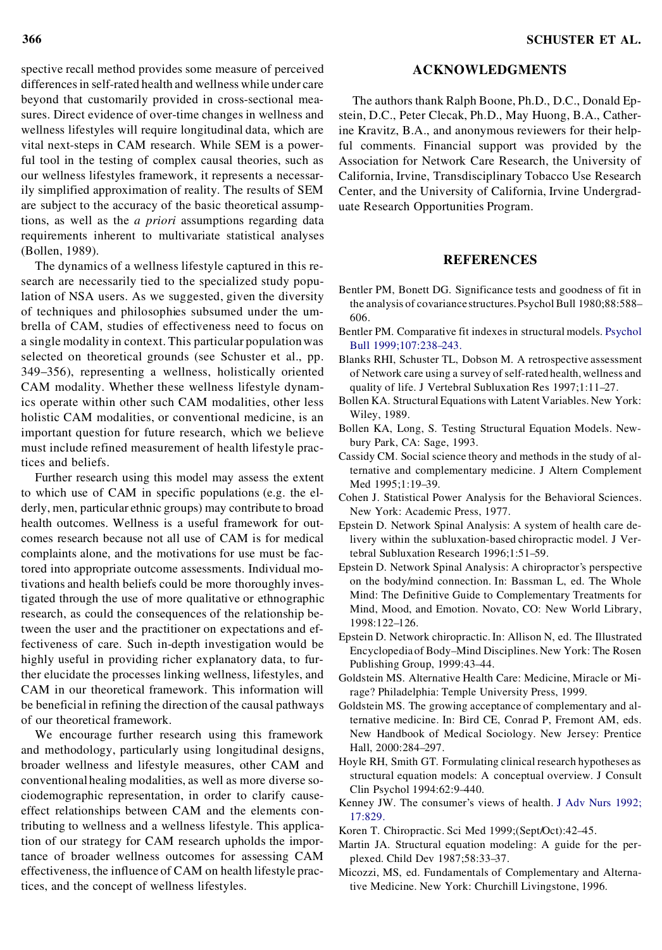spective recall method provides some measure of perceived differences in self-rated health and wellness while under care beyond that customarily provided in cross-sectional measures. Direct evidence of over-time changes in wellness and wellness lifestyles will require longitudinal data, which are vital next-steps in CAM research. While SEM is a powerful tool in the testing of complex causal theories, such as our wellness lifestyles framework, it represents a necessarily simplified approximation of reality. The results of SEM are subject to the accuracy of the basic theoretical assumptions, as well as the *a priori* assumptions regarding data requirements inherent to multivariate statistical analyses (Bollen, 1989).

The dynamics of a wellness lifestyle captured in this research are necessarily tied to the specialized study population of NSA users. As we suggested, given the diversity of techniques and philosophies subsumed under the umbrella of CAM, studies of effectiveness need to focus on a single modality in context. This particular populationwas selected on theoretical grounds (see Schuster et al., pp. 349–356), representing a wellness, holistically oriented CAM modality. Whether these wellness lifestyle dynamics operate within other such CAM modalities, other less holistic CAM modalities, or conventional medicine, is an important question for future research, which we believe must include refined measurement of health lifestyle practices and beliefs.

Further research using this model may assess the extent to which use of CAM in specific populations (e.g. the elderly, men, particular ethnic groups) may contribute to broad health outcomes. Wellness is a useful framework for outcomes research because not all use of CAM is for medical complaints alone, and the motivations for use must be factored into appropriate outcome assessments. Individual motivations and health beliefs could be more thoroughly investigated through the use of more qualitative or ethnographic research, as could the consequences of the relationship between the user and the practitioner on expectations and effectiveness of care. Such in-depth investigation would be highly useful in providing richer explanatory data, to further elucidate the processes linking wellness, lifestyles, and CAM in our theoretical framework. This information will be beneficial in refining the direction of the causal pathways of our theoretical framework.

We encourage further research using this framework and methodology, particularly using longitudinal designs, broader wellness and lifestyle measures, other CAM and conventional healing modalities, as well as more diverse sociodemographic representation, in order to clarify causeeffect relationships between CAM and the elements contributing to wellness and a wellness lifestyle. This application of our strategy for CAM research upholds the importance of broader wellness outcomes for assessing CAM effectiveness, the influence of CAM on health lifestyle practices, and the concept of wellness lifestyles.

### **ACKNOWLEDGMENTS**

The authors thank Ralph Boone, Ph.D., D.C., Donald Epstein, D.C., Peter Clecak, Ph.D., May Huong, B.A., Catherine Kravitz, B.A., and anonymous reviewers for their helpful comments. Financial support was provided by the Association for Network Care Research, the University of California, Irvine, Transdisciplinary Tobacco Use Research Center, and the University of California, Irvine Undergraduate Research Opportunities Program.

#### **REFERENCES**

- Bentler PM, Bonett DG. Significance tests and goodness of fit in the analysis of covariance structures. Psychol Bull 1980;88:588– 606.
- Bentler PM. Comparative fit indexes in structural models. [Psychol](http://www.ingentaselect.com/rpsv/cgi-bin/linker?ext=a&reqidx=/0033-2909^281999^29107L.238[aid=5777487]) [Bull 1999;107:238–243.](http://www.ingentaselect.com/rpsv/cgi-bin/linker?ext=a&reqidx=/0033-2909^281999^29107L.238[aid=5777487])
- Blanks RHI, Schuster TL, Dobson M. A retrospective assessment of Network care using a survey of self-rated health, wellness and quality of life. J Vertebral Subluxation Res 1997;1:11–27.
- Bollen KA. Structural Equations with Latent Variables. New York: Wiley, 1989.
- Bollen KA, Long, S. Testing Structural Equation Models. Newbury Park, CA: Sage, 1993.
- Cassidy CM. Social science theory and methods in the study of alternative and complementary medicine. J Altern Complement Med 1995;1:19–39.
- Cohen J. Statistical Power Analysis for the Behavioral Sciences. New York: Academic Press, 1977.
- Epstein D. Network Spinal Analysis: A system of health care delivery within the subluxation-based chiropractic model. J Vertebral Subluxation Research 1996;1:51–59.
- Epstein D. Network Spinal Analysis: A chiropractor's perspective on the body/mind connection. In: Bassman L, ed. The Whole Mind: The Definitive Guide to Complementary Treatments for Mind, Mood, and Emotion. Novato, CO: New World Library, 1998:122–126.
- Epstein D. Network chiropractic. In: Allison N, ed. The Illustrated Encyclopedia of Body–Mind Disciplines. New York: The Rosen Publishing Group, 1999:43–44.
- Goldstein MS. Alternative Health Care: Medicine, Miracle or Mirage? Philadelphia: Temple University Press, 1999.
- Goldstein MS. The growing acceptance of complementary and alternative medicine. In: Bird CE, Conrad P, Fremont AM, eds. New Handbook of Medical Sociology. New Jersey: Prentice Hall, 2000:284–297.
- Hoyle RH, Smith GT. Formulating clinical research hypotheses as structural equation models: A conceptual overview. J Consult Clin Psychol 1994:62:9–440.
- Kenney JW. The consumer's views of health. [J Adv Nurs 1992;](http://www.ingentaselect.com/rpsv/cgi-bin/linker?ext=a&reqidx=/0309-2402^281992^2917L.829[aid=5777489]) [17:829.](http://www.ingentaselect.com/rpsv/cgi-bin/linker?ext=a&reqidx=/0309-2402^281992^2917L.829[aid=5777489])
- Koren T. Chiropractic. Sci Med 1999;(Sept/Oct):42–45.
- Martin JA. Structural equation modeling: A guide for the perplexed. Child Dev 1987;58:33–37.
- Micozzi, MS, ed. Fundamentals of Complementary and Alternative Medicine. New York: Churchill Livingstone, 1996.